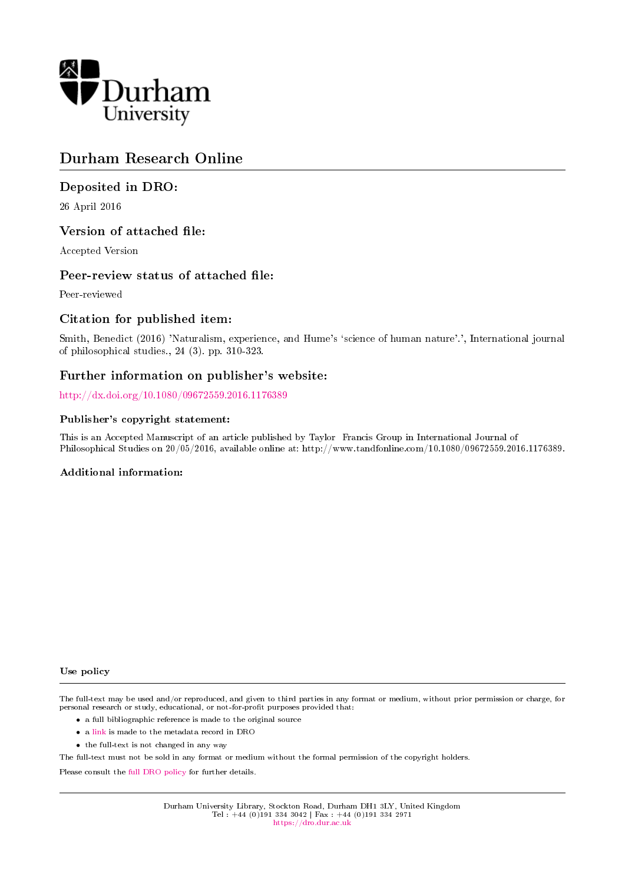

# Durham Research Online

# Deposited in DRO:

26 April 2016

# Version of attached file:

Accepted Version

# Peer-review status of attached file:

Peer-reviewed

# Citation for published item:

Smith, Benedict (2016) 'Naturalism, experience, and Hume's 'science of human nature'.', International journal of philosophical studies., 24 (3). pp. 310-323.

# Further information on publisher's website:

<http://dx.doi.org/10.1080/09672559.2016.1176389>

# Publisher's copyright statement:

This is an Accepted Manuscript of an article published by Taylor Francis Group in International Journal of Philosophical Studies on 20/05/2016, available online at: http://www.tandfonline.com/10.1080/09672559.2016.1176389.

# Additional information:

#### Use policy

The full-text may be used and/or reproduced, and given to third parties in any format or medium, without prior permission or charge, for personal research or study, educational, or not-for-profit purposes provided that:

- a full bibliographic reference is made to the original source
- a [link](http://dro.dur.ac.uk/18528/) is made to the metadata record in DRO
- the full-text is not changed in any way

The full-text must not be sold in any format or medium without the formal permission of the copyright holders.

Please consult the [full DRO policy](https://dro.dur.ac.uk/policies/usepolicy.pdf) for further details.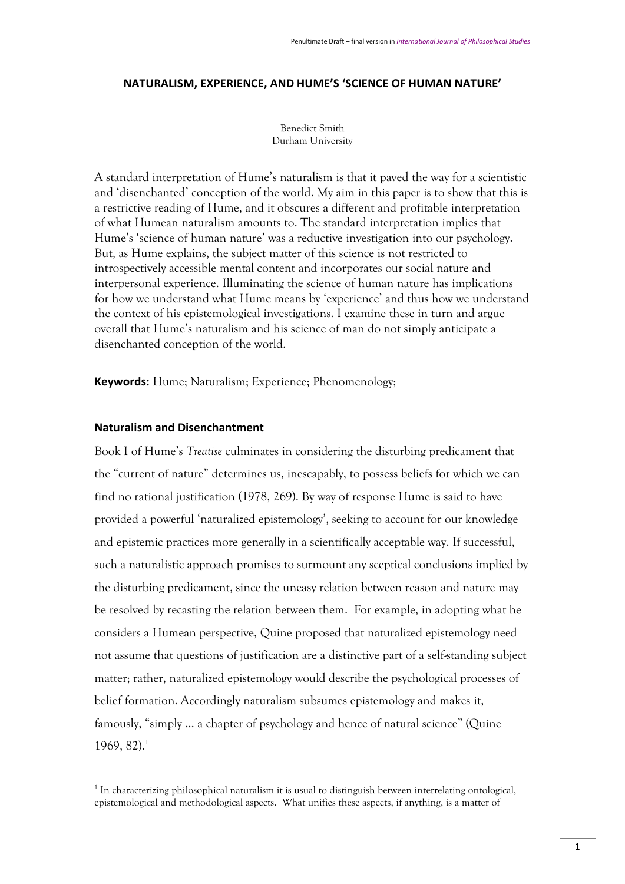### **NATURALISM, EXPERIENCE, AND HUME'S 'SCIENCE OF HUMAN NATURE'**

Benedict Smith Durham University

A standard interpretation of Hume's naturalism is that it paved the way for a scientistic and 'disenchanted' conception of the world. My aim in this paper is to show that this is a restrictive reading of Hume, and it obscures a different and profitable interpretation of what Humean naturalism amounts to. The standard interpretation implies that Hume's 'science of human nature' was a reductive investigation into our psychology. But, as Hume explains, the subject matter of this science is not restricted to introspectively accessible mental content and incorporates our social nature and interpersonal experience. Illuminating the science of human nature has implications for how we understand what Hume means by 'experience' and thus how we understand the context of his epistemological investigations. I examine these in turn and argue overall that Hume's naturalism and his science of man do not simply anticipate a disenchanted conception of the world.

**Keywords:** Hume; Naturalism; Experience; Phenomenology;

### **Naturalism and Disenchantment**

1

Book I of Hume's *Treatise* culminates in considering the disturbing predicament that the "current of nature" determines us, inescapably, to possess beliefs for which we can find no rational justification (1978, 269). By way of response Hume is said to have provided a powerful 'naturalized epistemology', seeking to account for our knowledge and epistemic practices more generally in a scientifically acceptable way. If successful, such a naturalistic approach promises to surmount any sceptical conclusions implied by the disturbing predicament, since the uneasy relation between reason and nature may be resolved by recasting the relation between them. For example, in adopting what he considers a Humean perspective, Quine proposed that naturalized epistemology need not assume that questions of justification are a distinctive part of a self-standing subject matter; rather, naturalized epistemology would describe the psychological processes of belief formation. Accordingly naturalism subsumes epistemology and makes it, famously, "simply ... a chapter of psychology and hence of natural science" (Quine 1969, 82).<sup>1</sup>

<sup>&</sup>lt;sup>1</sup> In characterizing philosophical naturalism it is usual to distinguish between interrelating ontological, epistemological and methodological aspects. What unifies these aspects, if anything, is a matter of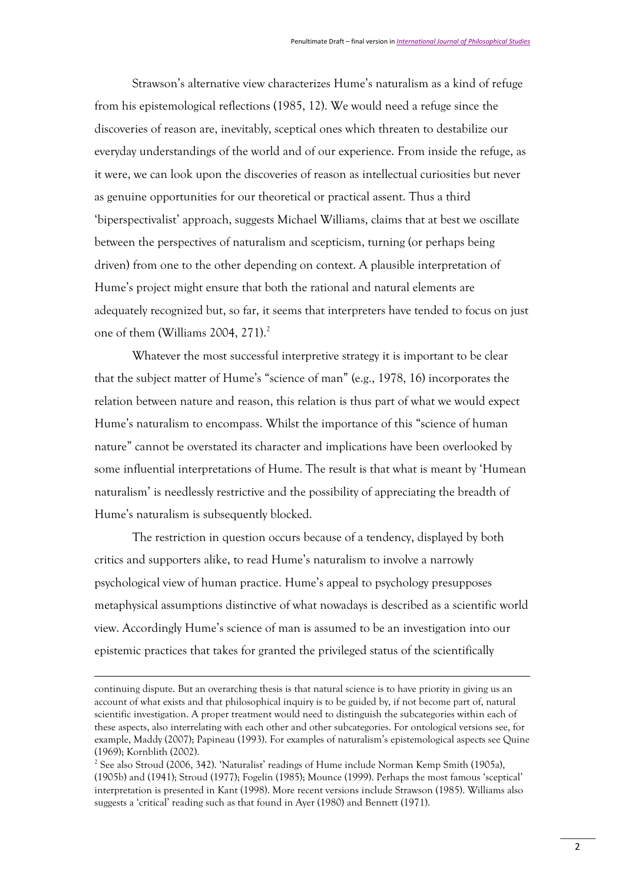Strawson's alternative view characterizes Hume's naturalism as a kind of refuge from his epistemological reflections (1985, 12). We would need a refuge since the discoveries of reason are, inevitably, sceptical ones which threaten to destabilize our everyday understandings of the world and of our experience. From inside the refuge, as it were, we can look upon the discoveries of reason as intellectual curiosities but never as genuine opportunities for our theoretical or practical assent. Thus a third 'biperspectivalist' approach, suggests Michael Williams, claims that at best we oscillate between the perspectives of naturalism and scepticism, turning (or perhaps being driven) from one to the other depending on context. A plausible interpretation of Hume's project might ensure that both the rational and natural elements are adequately recognized but, so far, it seems that interpreters have tended to focus on just one of them (Williams 2004,  $271$ ).<sup>2</sup>

Whatever the most successful interpretive strategy it is important to be clear that the subject matter of Hume's "science of man" (e.g., 1978, 16) incorporates the relation between nature and reason, this relation is thus part of what we would expect Hume's naturalism to encompass. Whilst the importance of this "science of human nature" cannot be overstated its character and implications have been overlooked by some influential interpretations of Hume. The result is that what is meant by 'Humean naturalism' is needlessly restrictive and the possibility of appreciating the breadth of Hume's naturalism is subsequently blocked.

The restriction in question occurs because of a tendency, displayed by both critics and supporters alike, to read Hume's naturalism to involve a narrowly psychological view of human practice. Hume's appeal to psychology presupposes metaphysical assumptions distinctive of what nowadays is described as a scientific world view. Accordingly Hume's science of man is assumed to be an investigation into our epistemic practices that takes for granted the privileged status of the scientifically

continuing dispute. But an overarching thesis is that natural science is to have priority in giving us an account of what exists and that philosophical inquiry is to be guided by, if not become part of, natural scientific investigation. A proper treatment would need to distinguish the subcategories within each of these aspects, also interrelating with each other and other subcategories. For ontological versions see, for example, Maddy (2007); Papineau (1993). For examples of naturalism's epistemological aspects see Quine (1969); Kornblith (2002).

<sup>&</sup>lt;sup>2</sup> See also Stroud (2006, 342). 'Naturalist' readings of Hume include Norman Kemp Smith (1905a), (1905b) and (1941); Stroud (1977); Fogelin (1985); Mounce (1999). Perhaps the most famous 'sceptical' interpretation is presented in Kant (1998). More recent versions include Strawson (1985). Williams also suggests a 'critical' reading such as that found in Ayer (1980) and Bennett (1971).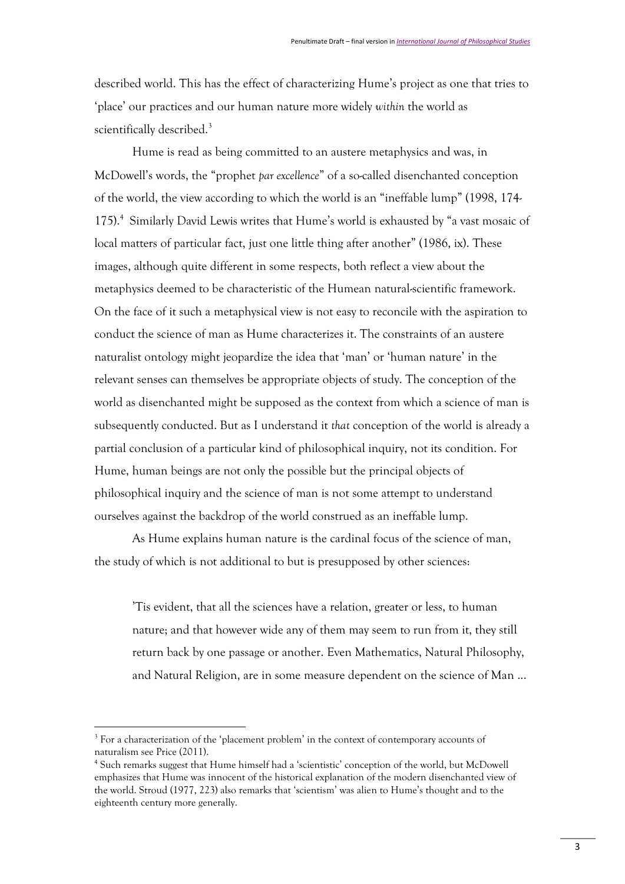described world. This has the effect of characterizing Hume's project as one that tries to 'place' our practices and our human nature more widely *within* the world as scientifically described.<sup>3</sup>

Hume is read as being committed to an austere metaphysics and was, in McDowell's words, the "prophet *par excellence*" of a so-called disenchanted conception of the world, the view according to which the world is an "ineffable lump" (1998, 174- 175).<sup>4</sup> Similarly David Lewis writes that Hume's world is exhausted by "a vast mosaic of local matters of particular fact, just one little thing after another" (1986, ix). These images, although quite different in some respects, both reflect a view about the metaphysics deemed to be characteristic of the Humean natural-scientific framework. On the face of it such a metaphysical view is not easy to reconcile with the aspiration to conduct the science of man as Hume characterizes it. The constraints of an austere naturalist ontology might jeopardize the idea that 'man' or 'human nature' in the relevant senses can themselves be appropriate objects of study. The conception of the world as disenchanted might be supposed as the context from which a science of man is subsequently conducted. But as I understand it *that* conception of the world is already a partial conclusion of a particular kind of philosophical inquiry, not its condition. For Hume, human beings are not only the possible but the principal objects of philosophical inquiry and the science of man is not some attempt to understand ourselves against the backdrop of the world construed as an ineffable lump.

As Hume explains human nature is the cardinal focus of the science of man, the study of which is not additional to but is presupposed by other sciences:

'Tis evident, that all the sciences have a relation, greater or less, to human nature; and that however wide any of them may seem to run from it, they still return back by one passage or another. Even Mathematics, Natural Philosophy, and Natural Religion, are in some measure dependent on the science of Man ...

<sup>&</sup>lt;sup>3</sup> For a characterization of the 'placement problem' in the context of contemporary accounts of naturalism see Price (2011).

<sup>4</sup> Such remarks suggest that Hume himself had a 'scientistic' conception of the world, but McDowell emphasizes that Hume was innocent of the historical explanation of the modern disenchanted view of the world. Stroud (1977, 223) also remarks that 'scientism' was alien to Hume's thought and to the eighteenth century more generally.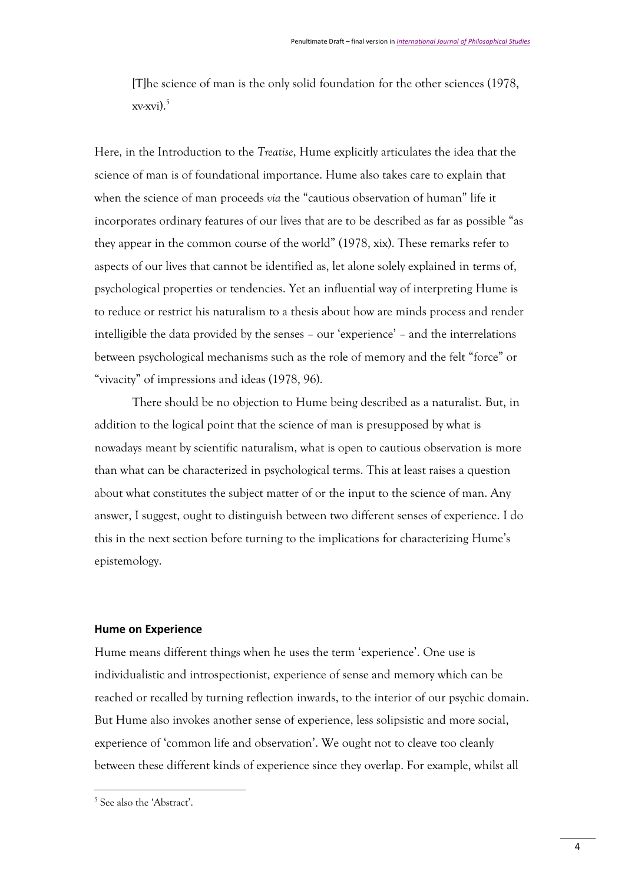[T]he science of man is the only solid foundation for the other sciences (1978,  $xv-xv<sub>i</sub>$ ).<sup>5</sup>

Here, in the Introduction to the *Treatise*, Hume explicitly articulates the idea that the science of man is of foundational importance. Hume also takes care to explain that when the science of man proceeds *via* the "cautious observation of human" life it incorporates ordinary features of our lives that are to be described as far as possible "as they appear in the common course of the world" (1978, xix). These remarks refer to aspects of our lives that cannot be identified as, let alone solely explained in terms of, psychological properties or tendencies. Yet an influential way of interpreting Hume is to reduce or restrict his naturalism to a thesis about how are minds process and render intelligible the data provided by the senses – our 'experience' – and the interrelations between psychological mechanisms such as the role of memory and the felt "force" or "vivacity" of impressions and ideas (1978, 96).

There should be no objection to Hume being described as a naturalist. But, in addition to the logical point that the science of man is presupposed by what is nowadays meant by scientific naturalism, what is open to cautious observation is more than what can be characterized in psychological terms. This at least raises a question about what constitutes the subject matter of or the input to the science of man. Any answer, I suggest, ought to distinguish between two different senses of experience. I do this in the next section before turning to the implications for characterizing Hume's epistemology.

### **Hume on Experience**

Hume means different things when he uses the term 'experience'. One use is individualistic and introspectionist, experience of sense and memory which can be reached or recalled by turning reflection inwards, to the interior of our psychic domain. But Hume also invokes another sense of experience, less solipsistic and more social, experience of 'common life and observation'. We ought not to cleave too cleanly between these different kinds of experience since they overlap. For example, whilst all

<sup>5</sup> See also the 'Abstract'.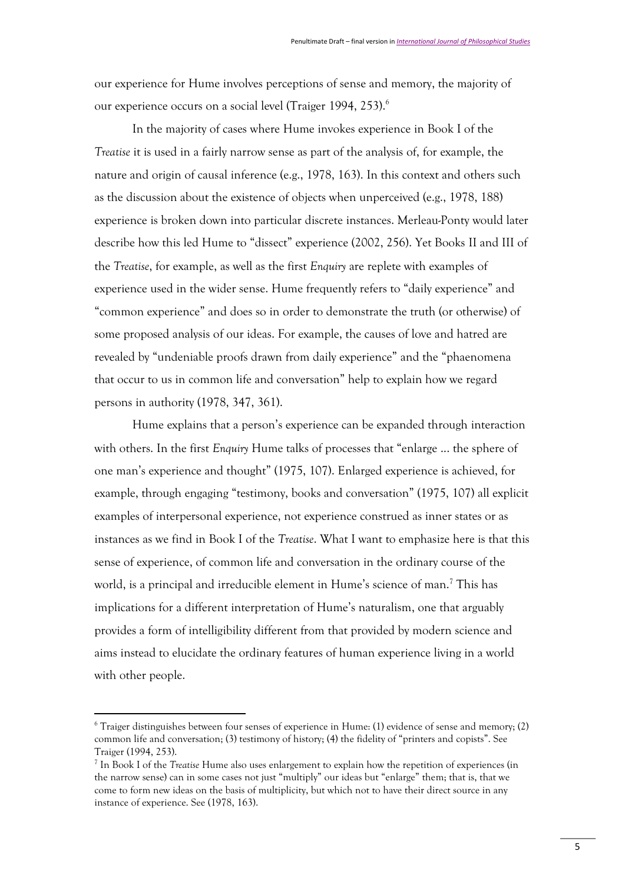our experience for Hume involves perceptions of sense and memory, the majority of our experience occurs on a social level (Traiger 1994, 253).<sup>6</sup>

In the majority of cases where Hume invokes experience in Book I of the *Treatise* it is used in a fairly narrow sense as part of the analysis of, for example, the nature and origin of causal inference (e.g., 1978, 163). In this context and others such as the discussion about the existence of objects when unperceived (e.g., 1978, 188) experience is broken down into particular discrete instances. Merleau-Ponty would later describe how this led Hume to "dissect" experience (2002, 256). Yet Books II and III of the *Treatise*, for example, as well as the first *Enquiry* are replete with examples of experience used in the wider sense. Hume frequently refers to "daily experience" and "common experience" and does so in order to demonstrate the truth (or otherwise) of some proposed analysis of our ideas. For example, the causes of love and hatred are revealed by "undeniable proofs drawn from daily experience" and the "phaenomena that occur to us in common life and conversation" help to explain how we regard persons in authority (1978, 347, 361).

Hume explains that a person's experience can be expanded through interaction with others. In the first *Enquiry* Hume talks of processes that "enlarge ... the sphere of one man's experience and thought" (1975, 107). Enlarged experience is achieved, for example, through engaging "testimony, books and conversation" (1975, 107) all explicit examples of interpersonal experience, not experience construed as inner states or as instances as we find in Book I of the *Treatise*. What I want to emphasize here is that this sense of experience, of common life and conversation in the ordinary course of the world, is a principal and irreducible element in Hume's science of man.<sup>7</sup> This has implications for a different interpretation of Hume's naturalism, one that arguably provides a form of intelligibility different from that provided by modern science and aims instead to elucidate the ordinary features of human experience living in a world with other people.

<u>.</u>

<sup>6</sup> Traiger distinguishes between four senses of experience in Hume: (1) evidence of sense and memory; (2) common life and conversation; (3) testimony of history; (4) the fidelity of "printers and copists". See Traiger (1994, 253).

<sup>7</sup> In Book I of the *Treatise* Hume also uses enlargement to explain how the repetition of experiences (in the narrow sense) can in some cases not just "multiply" our ideas but "enlarge" them; that is, that we come to form new ideas on the basis of multiplicity, but which not to have their direct source in any instance of experience. See (1978, 163).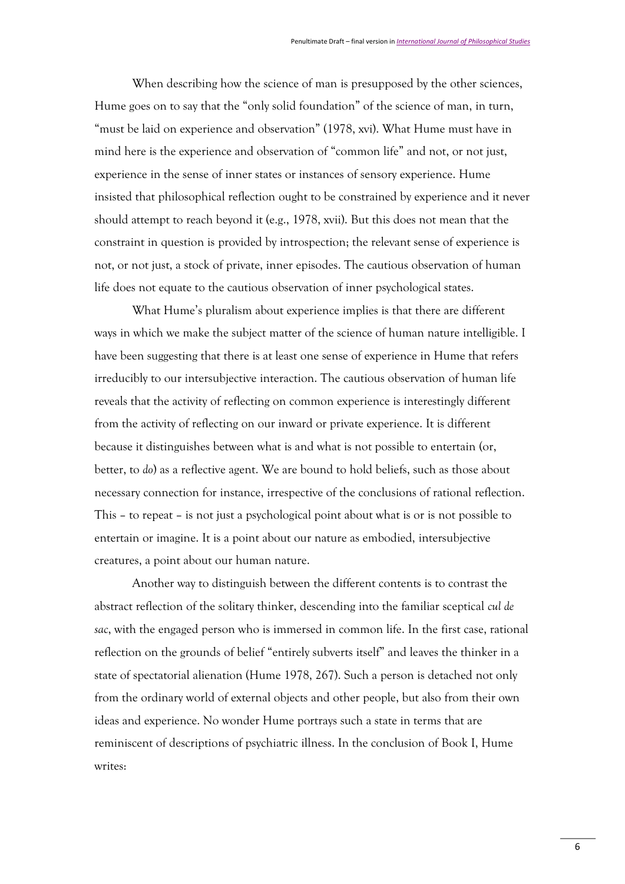When describing how the science of man is presupposed by the other sciences, Hume goes on to say that the "only solid foundation" of the science of man, in turn, "must be laid on experience and observation" (1978, xvi). What Hume must have in mind here is the experience and observation of "common life" and not, or not just, experience in the sense of inner states or instances of sensory experience. Hume insisted that philosophical reflection ought to be constrained by experience and it never should attempt to reach beyond it (e.g., 1978, xvii). But this does not mean that the constraint in question is provided by introspection; the relevant sense of experience is not, or not just, a stock of private, inner episodes. The cautious observation of human life does not equate to the cautious observation of inner psychological states.

What Hume's pluralism about experience implies is that there are different ways in which we make the subject matter of the science of human nature intelligible. I have been suggesting that there is at least one sense of experience in Hume that refers irreducibly to our intersubjective interaction. The cautious observation of human life reveals that the activity of reflecting on common experience is interestingly different from the activity of reflecting on our inward or private experience. It is different because it distinguishes between what is and what is not possible to entertain (or, better, to *do*) as a reflective agent. We are bound to hold beliefs, such as those about necessary connection for instance, irrespective of the conclusions of rational reflection. This – to repeat – is not just a psychological point about what is or is not possible to entertain or imagine. It is a point about our nature as embodied, intersubjective creatures, a point about our human nature.

Another way to distinguish between the different contents is to contrast the abstract reflection of the solitary thinker, descending into the familiar sceptical *cul de sac*, with the engaged person who is immersed in common life. In the first case, rational reflection on the grounds of belief "entirely subverts itself" and leaves the thinker in a state of spectatorial alienation (Hume 1978, 267). Such a person is detached not only from the ordinary world of external objects and other people, but also from their own ideas and experience. No wonder Hume portrays such a state in terms that are reminiscent of descriptions of psychiatric illness. In the conclusion of Book I, Hume writes: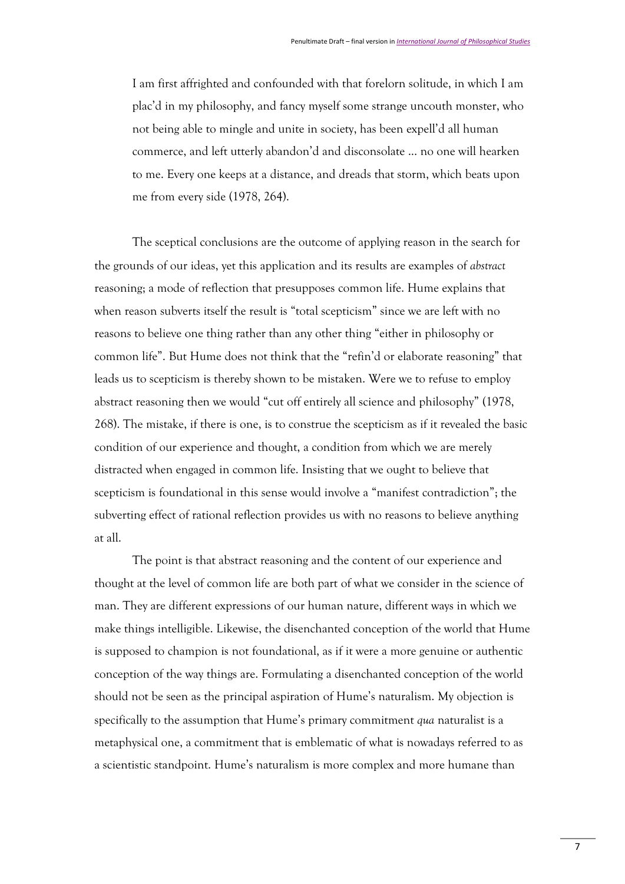I am first affrighted and confounded with that forelorn solitude, in which I am plac'd in my philosophy, and fancy myself some strange uncouth monster, who not being able to mingle and unite in society, has been expell'd all human commerce, and left utterly abandon'd and disconsolate ... no one will hearken to me. Every one keeps at a distance, and dreads that storm, which beats upon me from every side (1978, 264).

The sceptical conclusions are the outcome of applying reason in the search for the grounds of our ideas, yet this application and its results are examples of *abstract* reasoning; a mode of reflection that presupposes common life. Hume explains that when reason subverts itself the result is "total scepticism" since we are left with no reasons to believe one thing rather than any other thing "either in philosophy or common life". But Hume does not think that the "refin'd or elaborate reasoning" that leads us to scepticism is thereby shown to be mistaken. Were we to refuse to employ abstract reasoning then we would "cut off entirely all science and philosophy" (1978, 268). The mistake, if there is one, is to construe the scepticism as if it revealed the basic condition of our experience and thought, a condition from which we are merely distracted when engaged in common life. Insisting that we ought to believe that scepticism is foundational in this sense would involve a "manifest contradiction"; the subverting effect of rational reflection provides us with no reasons to believe anything at all.

The point is that abstract reasoning and the content of our experience and thought at the level of common life are both part of what we consider in the science of man. They are different expressions of our human nature, different ways in which we make things intelligible. Likewise, the disenchanted conception of the world that Hume is supposed to champion is not foundational, as if it were a more genuine or authentic conception of the way things are. Formulating a disenchanted conception of the world should not be seen as the principal aspiration of Hume's naturalism. My objection is specifically to the assumption that Hume's primary commitment *qua* naturalist is a metaphysical one, a commitment that is emblematic of what is nowadays referred to as a scientistic standpoint. Hume's naturalism is more complex and more humane than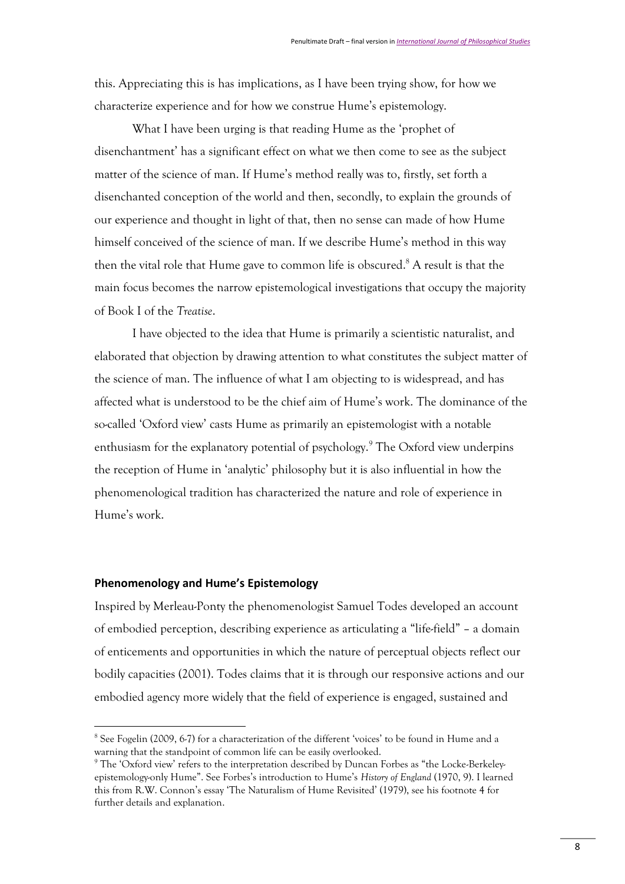this. Appreciating this is has implications, as I have been trying show, for how we characterize experience and for how we construe Hume's epistemology.

What I have been urging is that reading Hume as the 'prophet of disenchantment' has a significant effect on what we then come to see as the subject matter of the science of man. If Hume's method really was to, firstly, set forth a disenchanted conception of the world and then, secondly, to explain the grounds of our experience and thought in light of that, then no sense can made of how Hume himself conceived of the science of man. If we describe Hume's method in this way then the vital role that Hume gave to common life is obscured.<sup>8</sup> A result is that the main focus becomes the narrow epistemological investigations that occupy the majority of Book I of the *Treatise*.

I have objected to the idea that Hume is primarily a scientistic naturalist, and elaborated that objection by drawing attention to what constitutes the subject matter of the science of man. The influence of what I am objecting to is widespread, and has affected what is understood to be the chief aim of Hume's work. The dominance of the so-called 'Oxford view' casts Hume as primarily an epistemologist with a notable enthusiasm for the explanatory potential of psychology.<sup>9</sup> The Oxford view underpins the reception of Hume in 'analytic' philosophy but it is also influential in how the phenomenological tradition has characterized the nature and role of experience in Hume's work.

### **Phenomenology and Hume's Epistemology**

<u>.</u>

Inspired by Merleau-Ponty the phenomenologist Samuel Todes developed an account of embodied perception, describing experience as articulating a "life-field" – a domain of enticements and opportunities in which the nature of perceptual objects reflect our bodily capacities (2001). Todes claims that it is through our responsive actions and our embodied agency more widely that the field of experience is engaged, sustained and

<sup>&</sup>lt;sup>8</sup> See Fogelin (2009, 6-7) for a characterization of the different 'voices' to be found in Hume and a warning that the standpoint of common life can be easily overlooked.

<sup>9</sup> The 'Oxford view' refers to the interpretation described by Duncan Forbes as "the Locke-Berkeleyepistemology-only Hume". See Forbes's introduction to Hume's *History of England* (1970, 9). I learned this from R.W. Connon's essay 'The Naturalism of Hume Revisited' (1979), see his footnote 4 for further details and explanation.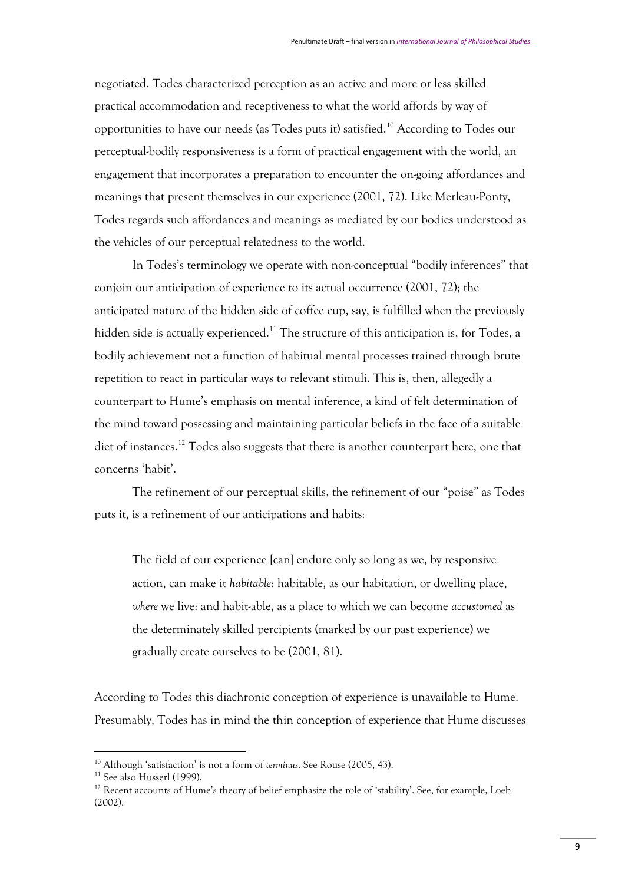negotiated. Todes characterized perception as an active and more or less skilled practical accommodation and receptiveness to what the world affords by way of opportunities to have our needs (as Todes puts it) satisfied.<sup>10</sup> According to Todes our perceptual-bodily responsiveness is a form of practical engagement with the world, an engagement that incorporates a preparation to encounter the on-going affordances and meanings that present themselves in our experience (2001, 72). Like Merleau-Ponty, Todes regards such affordances and meanings as mediated by our bodies understood as the vehicles of our perceptual relatedness to the world.

In Todes's terminology we operate with non-conceptual "bodily inferences" that conjoin our anticipation of experience to its actual occurrence (2001, 72); the anticipated nature of the hidden side of coffee cup, say, is fulfilled when the previously hidden side is actually experienced.<sup>11</sup> The structure of this anticipation is, for Todes, a bodily achievement not a function of habitual mental processes trained through brute repetition to react in particular ways to relevant stimuli. This is, then, allegedly a counterpart to Hume's emphasis on mental inference, a kind of felt determination of the mind toward possessing and maintaining particular beliefs in the face of a suitable diet of instances.<sup>12</sup> Todes also suggests that there is another counterpart here, one that concerns 'habit'.

The refinement of our perceptual skills, the refinement of our "poise" as Todes puts it, is a refinement of our anticipations and habits:

The field of our experience [can] endure only so long as we, by responsive action, can make it *habitable*: habitable, as our habitation, or dwelling place, *where* we live: and habit-able, as a place to which we can become *accustomed* as the determinately skilled percipients (marked by our past experience) we gradually create ourselves to be (2001, 81).

According to Todes this diachronic conception of experience is unavailable to Hume. Presumably, Todes has in mind the thin conception of experience that Hume discusses

<u>.</u>

<sup>10</sup> Although 'satisfaction' is not a form of *terminus*. See Rouse (2005, 43).

<sup>&</sup>lt;sup>11</sup> See also Husserl (1999).

<sup>&</sup>lt;sup>12</sup> Recent accounts of Hume's theory of belief emphasize the role of 'stability'. See, for example, Loeb (2002).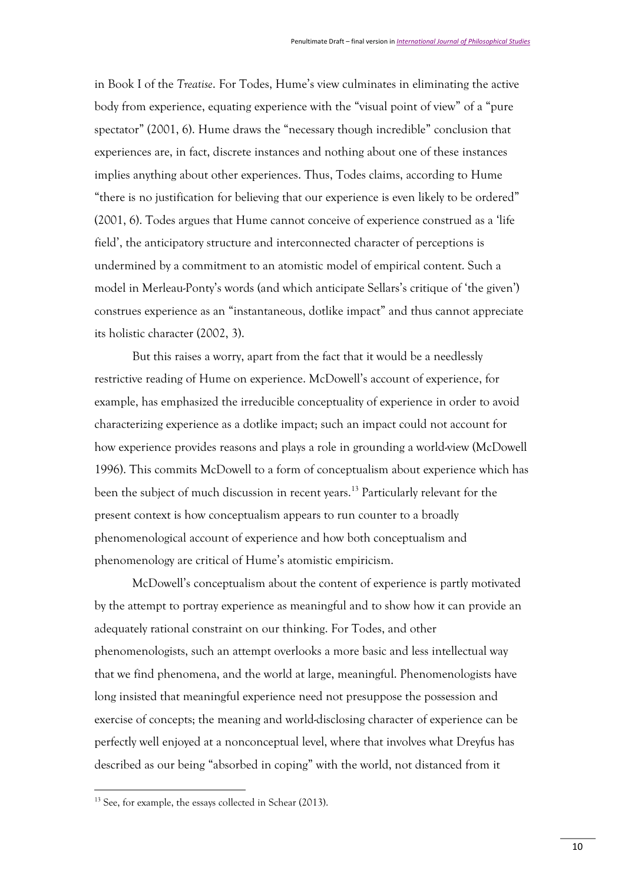in Book I of the *Treatise*. For Todes, Hume's view culminates in eliminating the active body from experience, equating experience with the "visual point of view" of a "pure spectator" (2001, 6). Hume draws the "necessary though incredible" conclusion that experiences are, in fact, discrete instances and nothing about one of these instances implies anything about other experiences. Thus, Todes claims, according to Hume "there is no justification for believing that our experience is even likely to be ordered" (2001, 6). Todes argues that Hume cannot conceive of experience construed as a 'life field', the anticipatory structure and interconnected character of perceptions is undermined by a commitment to an atomistic model of empirical content. Such a model in Merleau-Ponty's words (and which anticipate Sellars's critique of 'the given') construes experience as an "instantaneous, dotlike impact" and thus cannot appreciate its holistic character (2002, 3).

But this raises a worry, apart from the fact that it would be a needlessly restrictive reading of Hume on experience. McDowell's account of experience, for example, has emphasized the irreducible conceptuality of experience in order to avoid characterizing experience as a dotlike impact; such an impact could not account for how experience provides reasons and plays a role in grounding a world-view (McDowell 1996). This commits McDowell to a form of conceptualism about experience which has been the subject of much discussion in recent years.<sup>13</sup> Particularly relevant for the present context is how conceptualism appears to run counter to a broadly phenomenological account of experience and how both conceptualism and phenomenology are critical of Hume's atomistic empiricism.

McDowell's conceptualism about the content of experience is partly motivated by the attempt to portray experience as meaningful and to show how it can provide an adequately rational constraint on our thinking. For Todes, and other phenomenologists, such an attempt overlooks a more basic and less intellectual way that we find phenomena, and the world at large, meaningful. Phenomenologists have long insisted that meaningful experience need not presuppose the possession and exercise of concepts; the meaning and world-disclosing character of experience can be perfectly well enjoyed at a nonconceptual level, where that involves what Dreyfus has described as our being "absorbed in coping" with the world, not distanced from it

<sup>&</sup>lt;sup>13</sup> See, for example, the essays collected in Schear (2013).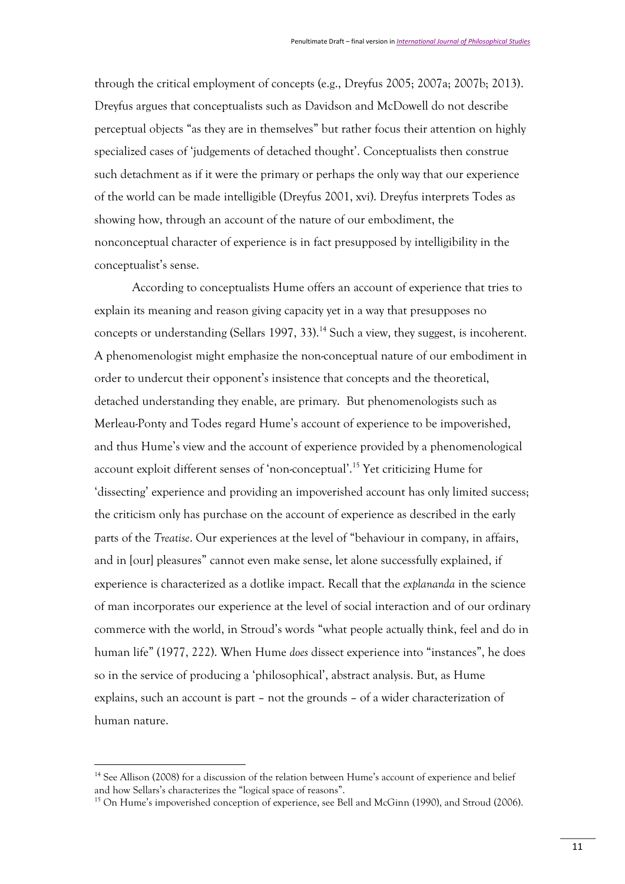through the critical employment of concepts (e.g., Dreyfus 2005; 2007a; 2007b; 2013). Dreyfus argues that conceptualists such as Davidson and McDowell do not describe perceptual objects "as they are in themselves" but rather focus their attention on highly specialized cases of 'judgements of detached thought'. Conceptualists then construe such detachment as if it were the primary or perhaps the only way that our experience of the world can be made intelligible (Dreyfus 2001, xvi). Dreyfus interprets Todes as showing how, through an account of the nature of our embodiment, the nonconceptual character of experience is in fact presupposed by intelligibility in the conceptualist's sense.

According to conceptualists Hume offers an account of experience that tries to explain its meaning and reason giving capacity yet in a way that presupposes no concepts or understanding (Sellars 1997, 33).<sup>14</sup> Such a view, they suggest, is incoherent. A phenomenologist might emphasize the non-conceptual nature of our embodiment in order to undercut their opponent's insistence that concepts and the theoretical, detached understanding they enable, are primary. But phenomenologists such as Merleau-Ponty and Todes regard Hume's account of experience to be impoverished, and thus Hume's view and the account of experience provided by a phenomenological account exploit different senses of 'non-conceptual'.<sup>15</sup> Yet criticizing Hume for 'dissecting' experience and providing an impoverished account has only limited success; the criticism only has purchase on the account of experience as described in the early parts of the *Treatise*. Our experiences at the level of "behaviour in company, in affairs, and in [our] pleasures" cannot even make sense, let alone successfully explained, if experience is characterized as a dotlike impact. Recall that the *explananda* in the science of man incorporates our experience at the level of social interaction and of our ordinary commerce with the world, in Stroud's words "what people actually think, feel and do in human life" (1977, 222). When Hume *does* dissect experience into "instances", he does so in the service of producing a 'philosophical', abstract analysis. But, as Hume explains, such an account is part – not the grounds – of a wider characterization of human nature.

<sup>&</sup>lt;sup>14</sup> See Allison (2008) for a discussion of the relation between Hume's account of experience and belief and how Sellars's characterizes the "logical space of reasons".

<sup>&</sup>lt;sup>15</sup> On Hume's impoverished conception of experience, see Bell and McGinn (1990), and Stroud (2006).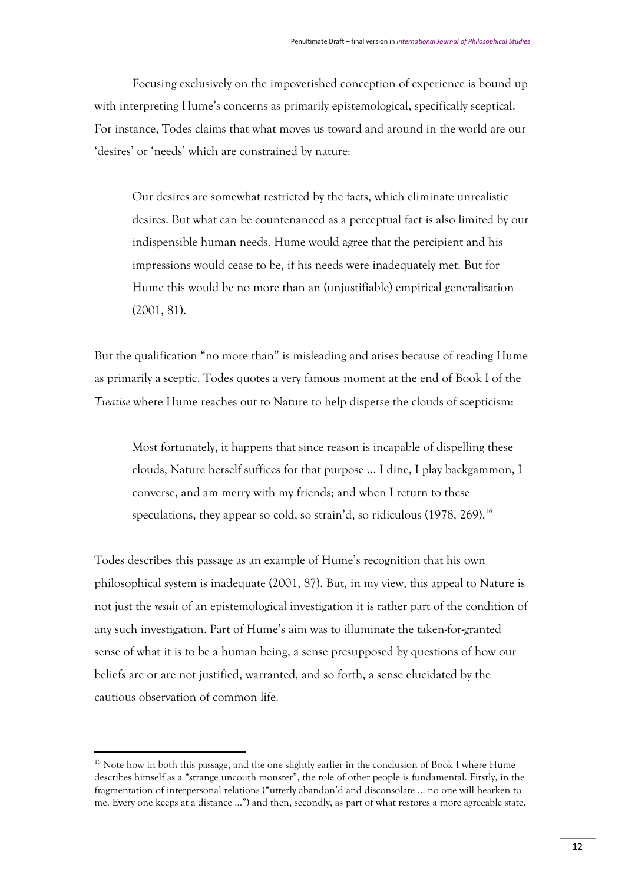Focusing exclusively on the impoverished conception of experience is bound up with interpreting Hume's concerns as primarily epistemological, specifically sceptical. For instance, Todes claims that what moves us toward and around in the world are our 'desires' or 'needs' which are constrained by nature:

Our desires are somewhat restricted by the facts, which eliminate unrealistic desires. But what can be countenanced as a perceptual fact is also limited by our indispensible human needs. Hume would agree that the percipient and his impressions would cease to be, if his needs were inadequately met. But for Hume this would be no more than an (unjustifiable) empirical generalization (2001, 81).

But the qualification "no more than" is misleading and arises because of reading Hume as primarily a sceptic. Todes quotes a very famous moment at the end of Book I of the *Treatise* where Hume reaches out to Nature to help disperse the clouds of scepticism:

Most fortunately, it happens that since reason is incapable of dispelling these clouds, Nature herself suffices for that purpose ... I dine, I play backgammon, I converse, and am merry with my friends; and when I return to these speculations, they appear so cold, so strain'd, so ridiculous (1978, 269).<sup>16</sup>

Todes describes this passage as an example of Hume's recognition that his own philosophical system is inadequate (2001, 87). But, in my view, this appeal to Nature is not just the *result* of an epistemological investigation it is rather part of the condition of any such investigation. Part of Hume's aim was to illuminate the taken-for-granted sense of what it is to be a human being, a sense presupposed by questions of how our beliefs are or are not justified, warranted, and so forth, a sense elucidated by the cautious observation of common life.

<sup>&</sup>lt;sup>16</sup> Note how in both this passage, and the one slightly earlier in the conclusion of Book I where Hume describes himself as a "strange uncouth monster", the role of other people is fundamental. Firstly, in the fragmentation of interpersonal relations ("utterly abandon'd and disconsolate ... no one will hearken to me. Every one keeps at a distance ...") and then, secondly, as part of what restores a more agreeable state.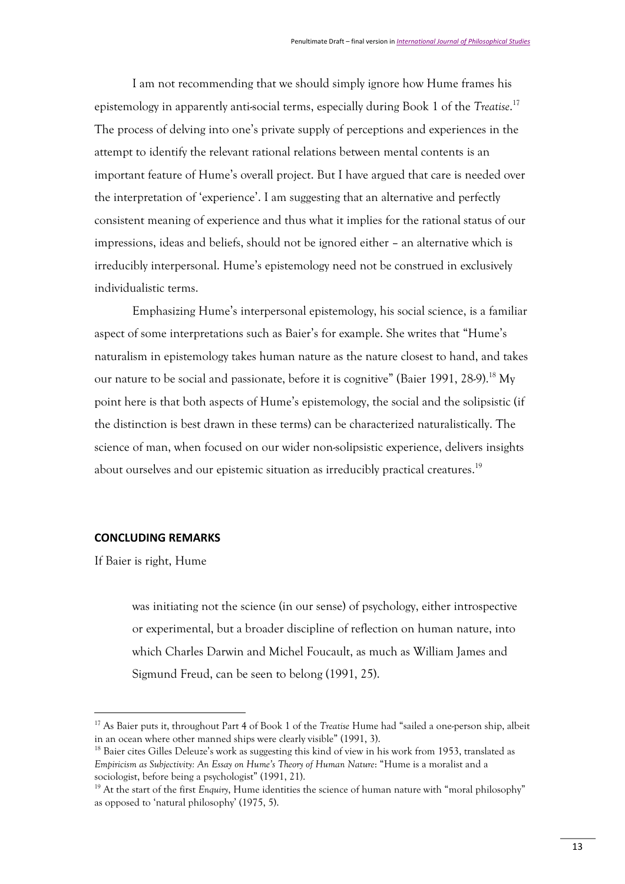I am not recommending that we should simply ignore how Hume frames his epistemology in apparently anti-social terms, especially during Book 1 of the *Treatise*. 17 The process of delving into one's private supply of perceptions and experiences in the attempt to identify the relevant rational relations between mental contents is an important feature of Hume's overall project. But I have argued that care is needed over the interpretation of 'experience'. I am suggesting that an alternative and perfectly consistent meaning of experience and thus what it implies for the rational status of our impressions, ideas and beliefs, should not be ignored either – an alternative which is irreducibly interpersonal. Hume's epistemology need not be construed in exclusively individualistic terms.

Emphasizing Hume's interpersonal epistemology, his social science, is a familiar aspect of some interpretations such as Baier's for example. She writes that "Hume's naturalism in epistemology takes human nature as the nature closest to hand, and takes our nature to be social and passionate, before it is cognitive" (Baier 1991, 28-9).<sup>18</sup> My point here is that both aspects of Hume's epistemology, the social and the solipsistic (if the distinction is best drawn in these terms) can be characterized naturalistically. The science of man, when focused on our wider non-solipsistic experience, delivers insights about ourselves and our epistemic situation as irreducibly practical creatures.<sup>19</sup>

# **CONCLUDING REMARKS**

If Baier is right, Hume

1

was initiating not the science (in our sense) of psychology, either introspective or experimental, but a broader discipline of reflection on human nature, into which Charles Darwin and Michel Foucault, as much as William James and Sigmund Freud, can be seen to belong (1991, 25).

<sup>17</sup> As Baier puts it, throughout Part 4 of Book 1 of the *Treatise* Hume had "sailed a one-person ship, albeit in an ocean where other manned ships were clearly visible" (1991, 3).

<sup>&</sup>lt;sup>18</sup> Baier cites Gilles Deleuze's work as suggesting this kind of view in his work from 1953, translated as *Empiricism as Subjectivity: An Essay on Hume's Theory of Human Nature*: "Hume is a moralist and a sociologist, before being a psychologist" (1991, 21).

<sup>&</sup>lt;sup>19</sup> At the start of the first *Enquiry*, Hume identities the science of human nature with "moral philosophy" as opposed to 'natural philosophy' (1975, 5).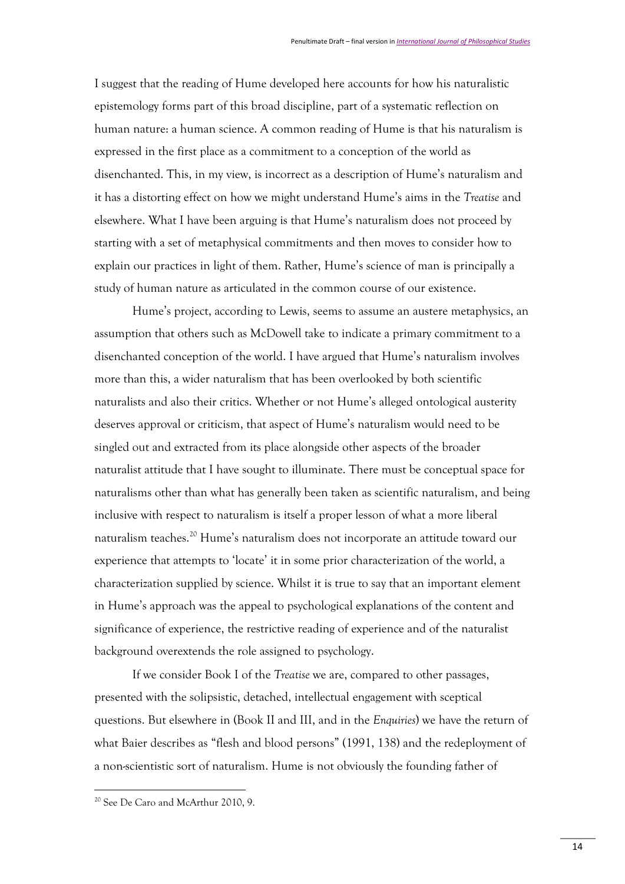I suggest that the reading of Hume developed here accounts for how his naturalistic epistemology forms part of this broad discipline, part of a systematic reflection on human nature: a human science. A common reading of Hume is that his naturalism is expressed in the first place as a commitment to a conception of the world as disenchanted. This, in my view, is incorrect as a description of Hume's naturalism and it has a distorting effect on how we might understand Hume's aims in the *Treatise* and elsewhere. What I have been arguing is that Hume's naturalism does not proceed by starting with a set of metaphysical commitments and then moves to consider how to explain our practices in light of them. Rather, Hume's science of man is principally a study of human nature as articulated in the common course of our existence.

Hume's project, according to Lewis, seems to assume an austere metaphysics, an assumption that others such as McDowell take to indicate a primary commitment to a disenchanted conception of the world. I have argued that Hume's naturalism involves more than this, a wider naturalism that has been overlooked by both scientific naturalists and also their critics. Whether or not Hume's alleged ontological austerity deserves approval or criticism, that aspect of Hume's naturalism would need to be singled out and extracted from its place alongside other aspects of the broader naturalist attitude that I have sought to illuminate. There must be conceptual space for naturalisms other than what has generally been taken as scientific naturalism, and being inclusive with respect to naturalism is itself a proper lesson of what a more liberal naturalism teaches.<sup>20</sup> Hume's naturalism does not incorporate an attitude toward our experience that attempts to 'locate' it in some prior characterization of the world, a characterization supplied by science. Whilst it is true to say that an important element in Hume's approach was the appeal to psychological explanations of the content and significance of experience, the restrictive reading of experience and of the naturalist background overextends the role assigned to psychology.

If we consider Book I of the *Treatise* we are, compared to other passages, presented with the solipsistic, detached, intellectual engagement with sceptical questions. But elsewhere in (Book II and III, and in the *Enquiries*) we have the return of what Baier describes as "flesh and blood persons" (1991, 138) and the redeployment of a non-scientistic sort of naturalism. Hume is not obviously the founding father of

<sup>20</sup> See De Caro and McArthur 2010, 9.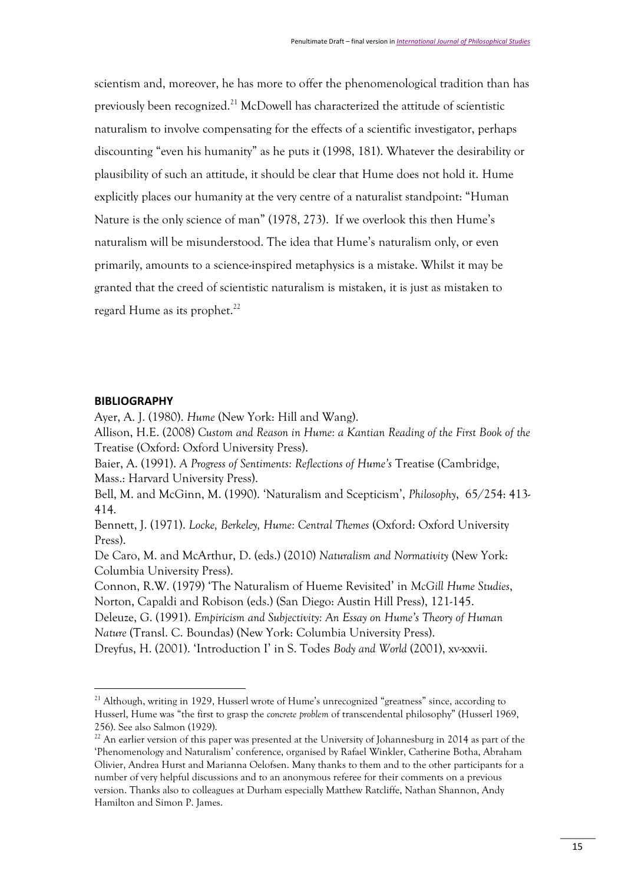scientism and, moreover, he has more to offer the phenomenological tradition than has previously been recognized.<sup>21</sup> McDowell has characterized the attitude of scientistic naturalism to involve compensating for the effects of a scientific investigator, perhaps discounting "even his humanity" as he puts it (1998, 181). Whatever the desirability or plausibility of such an attitude, it should be clear that Hume does not hold it. Hume explicitly places our humanity at the very centre of a naturalist standpoint: "Human Nature is the only science of man" (1978, 273). If we overlook this then Hume's naturalism will be misunderstood. The idea that Hume's naturalism only, or even primarily, amounts to a science-inspired metaphysics is a mistake. Whilst it may be granted that the creed of scientistic naturalism is mistaken, it is just as mistaken to regard Hume as its prophet. $^{22}$ 

#### **BIBLIOGRAPHY**

<u>.</u>

Ayer, A. J. (1980). *Hume* (New York: Hill and Wang).

Allison, H.E. (2008) *Custom and Reason in Hume: a Kantian Reading of the First Book of the*  Treatise (Oxford: Oxford University Press).

Baier, A. (1991). *A Progress of Sentiments: Reflections of Hume's* Treatise (Cambridge, Mass.: Harvard University Press).

Bell, M. and McGinn, M. (1990). 'Naturalism and Scepticism', *Philosophy*, 65/254: 413- 414.

Bennett, J. (1971). *Locke, Berkeley, Hume: Central Themes* (Oxford: Oxford University Press).

De Caro, M. and McArthur, D. (eds.) (2010) *Naturalism and Normativity* (New York: Columbia University Press).

Connon, R.W. (1979) 'The Naturalism of Hueme Revisited' in *McGill Hume Studies*, Norton, Capaldi and Robison (eds.) (San Diego: Austin Hill Press), 121-145.

Deleuze, G. (1991). *Empiricism and Subjectivity: An Essay on Hume's Theory of Human Nature* (Transl. C. Boundas) (New York: Columbia University Press).

Dreyfus, H. (2001). 'Introduction I' in S. Todes *Body and World* (2001), xv-xxvii.

<sup>&</sup>lt;sup>21</sup> Although, writing in 1929, Husserl wrote of Hume's unrecognized "greatness" since, according to Husserl, Hume was "the first to grasp the *concrete problem* of transcendental philosophy" (Husserl 1969, 256). See also Salmon (1929).

<sup>&</sup>lt;sup>22</sup> An earlier version of this paper was presented at the University of Johannesburg in 2014 as part of the 'Phenomenology and Naturalism' conference, organised by Rafael Winkler, Catherine Botha, Abraham Olivier, Andrea Hurst and Marianna Oelofsen. Many thanks to them and to the other participants for a number of very helpful discussions and to an anonymous referee for their comments on a previous version. Thanks also to colleagues at Durham especially Matthew Ratcliffe, Nathan Shannon, Andy Hamilton and Simon P. James.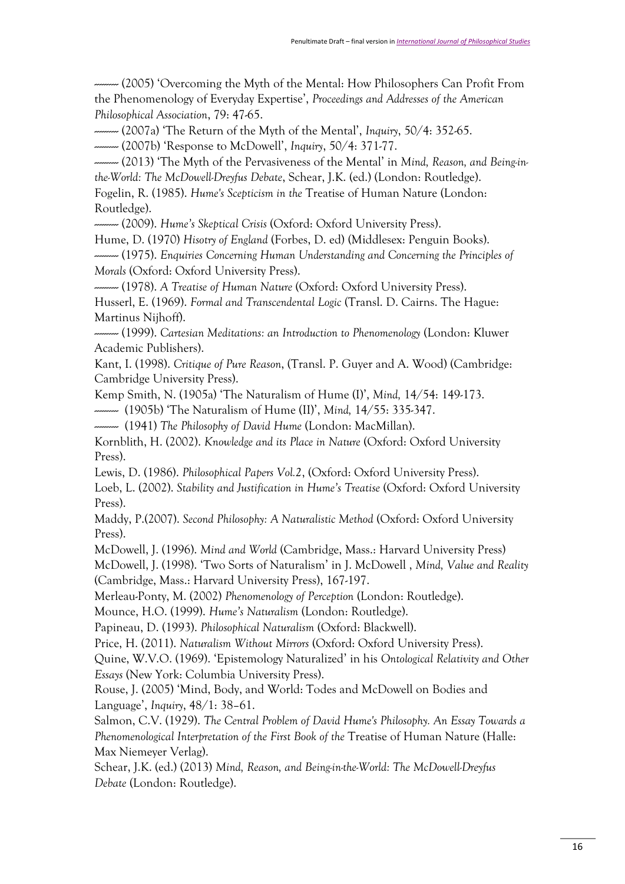---------- (2005) 'Overcoming the Myth of the Mental: How Philosophers Can Profit From the Phenomenology of Everyday Expertise', *Proceedings and Addresses of the American Philosophical Association*, 79: 47-65.

---------- (2007a) 'The Return of the Myth of the Mental', *Inquiry*, 50/4: 352-65.

---------- (2007b) 'Response to McDowell', *Inquiry*, 50/4: 371-77.

---------- (2013) 'The Myth of the Pervasiveness of the Mental' in *Mind, Reason, and Being-inthe-World: The McDowell-Dreyfus Debate*, Schear, J.K. (ed.) (London: Routledge).

Fogelin, R. (1985). *Hume's Scepticism in the* Treatise of Human Nature (London: Routledge).

---------- (2009). *Hume's Skeptical Crisis* (Oxford: Oxford University Press).

Hume, D. (1970) *Hisotry of England* (Forbes, D. ed) (Middlesex: Penguin Books).

---------- (1975). *Enquiries Concerning Human Understanding and Concerning the Principles of Morals* (Oxford: Oxford University Press).

---------- (1978). *A Treatise of Human Nature* (Oxford: Oxford University Press).

Husserl, E. (1969). *Formal and Transcendental Logic* (Transl. D. Cairns. The Hague: Martinus Nijhoff).

---------- (1999). *Cartesian Meditations: an Introduction to Phenomenology* (London: Kluwer Academic Publishers).

Kant, I. (1998). *Critique of Pure Reason*, (Transl. P. Guyer and A. Wood) (Cambridge: Cambridge University Press).

Kemp Smith, N. (1905a) 'The Naturalism of Hume (I)', *Mind,* 14/54: 149-173.

---------- (1905b) 'The Naturalism of Hume (II)', *Mind,* 14/55: 335-347.

---------- (1941) *The Philosophy of David Hume* (London: MacMillan).

Kornblith, H. (2002). *Knowledge and its Place in Nature* (Oxford: Oxford University Press).

Lewis, D. (1986). *Philosophical Papers Vol.2*, (Oxford: Oxford University Press).

Loeb, L. (2002). *Stability and Justification in Hume's Treatise* (Oxford: Oxford University Press).

Maddy, P.(2007). *Second Philosophy: A Naturalistic Method* (Oxford: Oxford University Press).

McDowell, J. (1996). *Mind and World* (Cambridge, Mass.: Harvard University Press)

McDowell, J. (1998). 'Two Sorts of Naturalism' in J. McDowell , *Mind, Value and Reality* (Cambridge, Mass.: Harvard University Press), 167-197.

Merleau-Ponty, M. (2002) *Phenomenology of Perception* (London: Routledge).

Mounce, H.O. (1999). *Hume's Naturalism* (London: Routledge).

Papineau, D. (1993). *Philosophical Naturalism* (Oxford: Blackwell).

Price, H. (2011). *Naturalism Without Mirrors* (Oxford: Oxford University Press).

Quine, W.V.O. (1969). 'Epistemology Naturalized' in his *Ontological Relativity and Other Essays* (New York: Columbia University Press).

Rouse, J. (2005) 'Mind, Body, and World: Todes and McDowell on Bodies and Language', *Inquiry*, 48/1: 38–61.

Salmon, C.V. (1929). *The Central Problem of David Hume's Philosophy. An Essay Towards a Phenomenological Interpretation of the First Book of the* Treatise of Human Nature (Halle: Max Niemeyer Verlag).

Schear, J.K. (ed.) (2013) *Mind, Reason, and Being-in-the-World: The McDowell-Dreyfus Debate* (London: Routledge).